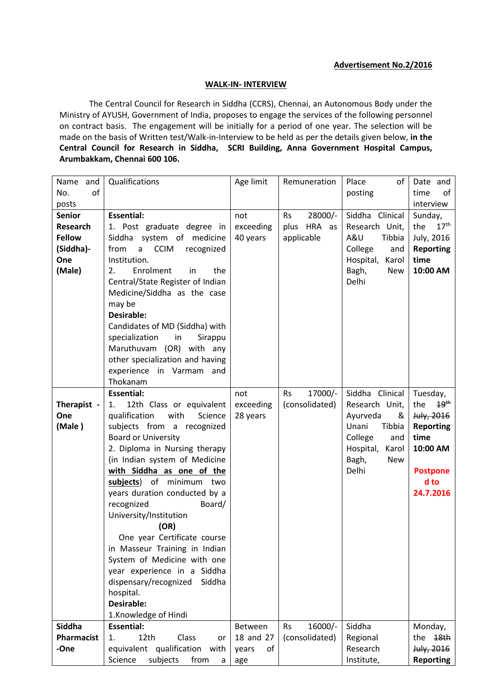#### **WALK-IN- INTERVIEW**

The Central Council for Research in Siddha (CCRS), Chennai, an Autonomous Body under the Ministry of AYUSH, Government of India, proposes to engage the services of the following personnel on contract basis. The engagement will be initially for a period of one year. The selection will be made on the basis of Written test/Walk-in-Interview to be held as per the details given below, **in the Central Council for Research in Siddha, SCRI Building, Anna Government Hospital Campus, Arumbakkam, Chennai 600 106.** 

| Name<br>and                   | Qualifications                         | Age limit   | Remuneration         | Place<br>of         | Date and                |
|-------------------------------|----------------------------------------|-------------|----------------------|---------------------|-------------------------|
| No.<br>of                     |                                        |             |                      | posting             | time<br>of              |
| posts                         |                                        |             |                      |                     | interview               |
| <b>Senior</b>                 | <b>Essential:</b>                      | not         | 28000/-<br><b>Rs</b> | Siddha Clinical     | Sunday,                 |
| <b>Research</b>               | 1. Post graduate degree in             | exceeding   | plus HRA as          | Research Unit,      | 17 <sup>th</sup><br>the |
| <b>Fellow</b>                 | Siddha system of medicine              | 40 years    | applicable           | A&U<br>Tibbia       | July, 2016              |
| (Siddha)-                     | <b>CCIM</b><br>from<br>recognized<br>a |             |                      | College<br>and      | <b>Reporting</b>        |
| One                           | Institution.                           |             |                      | Hospital,<br>Karol  | time                    |
| (Male)                        | 2.<br>Enrolment<br>the<br>in           |             |                      | Bagh,<br><b>New</b> | 10:00 AM                |
|                               | Central/State Register of Indian       |             |                      | Delhi               |                         |
|                               | Medicine/Siddha as the case            |             |                      |                     |                         |
|                               | may be                                 |             |                      |                     |                         |
|                               | <b>Desirable:</b>                      |             |                      |                     |                         |
|                               | Candidates of MD (Siddha) with         |             |                      |                     |                         |
|                               | specialization<br>in<br>Sirappu        |             |                      |                     |                         |
|                               | Maruthuvam (OR) with any               |             |                      |                     |                         |
|                               | other specialization and having        |             |                      |                     |                         |
|                               | experience in Varmam and               |             |                      |                     |                         |
|                               | Thokanam                               |             |                      |                     |                         |
|                               | <b>Essential:</b>                      | not         | 17000/-<br><b>Rs</b> | Siddha Clinical     | Tuesday,                |
| Therapist -                   | 12th Class or equivalent<br>1.         | exceeding   | (consolidated)       | Research Unit,      | 19 <sup>th</sup><br>the |
| One                           | qualification<br>with<br>Science       | 28 years    |                      | Ayurveda<br>&       | July, 2016              |
| (Male)                        | subjects from a recognized             |             |                      | Unani<br>Tibbia     | <b>Reporting</b>        |
|                               | <b>Board or University</b>             |             |                      | College<br>and      | time                    |
|                               | 2. Diploma in Nursing therapy          |             |                      | Hospital,<br>Karol  | 10:00 AM                |
| (in Indian system of Medicine |                                        |             |                      | Bagh,<br>New        |                         |
|                               | with Siddha as one of the              |             |                      | Delhi               | <b>Postpone</b>         |
|                               | subjects) of minimum two               |             |                      |                     | d to                    |
|                               | years duration conducted by a          |             |                      |                     | 24.7.2016               |
|                               | recognized<br>Board/                   |             |                      |                     |                         |
|                               | University/Institution                 |             |                      |                     |                         |
|                               | (OR)                                   |             |                      |                     |                         |
|                               | One year Certificate course            |             |                      |                     |                         |
|                               | in Masseur Training in Indian          |             |                      |                     |                         |
|                               | System of Medicine with one            |             |                      |                     |                         |
|                               | year experience in a Siddha            |             |                      |                     |                         |
|                               | dispensary/recognized<br>Siddha        |             |                      |                     |                         |
|                               | hospital.                              |             |                      |                     |                         |
|                               | <b>Desirable:</b>                      |             |                      |                     |                         |
|                               | 1.Knowledge of Hindi                   |             |                      |                     |                         |
| Siddha                        | <b>Essential:</b>                      | Between     | 16000/-<br><b>Rs</b> | Siddha              | Monday,                 |
| Pharmacist                    | Class<br>12th<br>1.<br>or              | 18 and 27   | (consolidated)       | Regional            | 48 <sub>th</sub><br>the |
| -One                          | equivalent qualification with          | of<br>years |                      | Research            | July, 2016              |
|                               | Science<br>subjects<br>from<br>a       | age         |                      | Institute,          | <b>Reporting</b>        |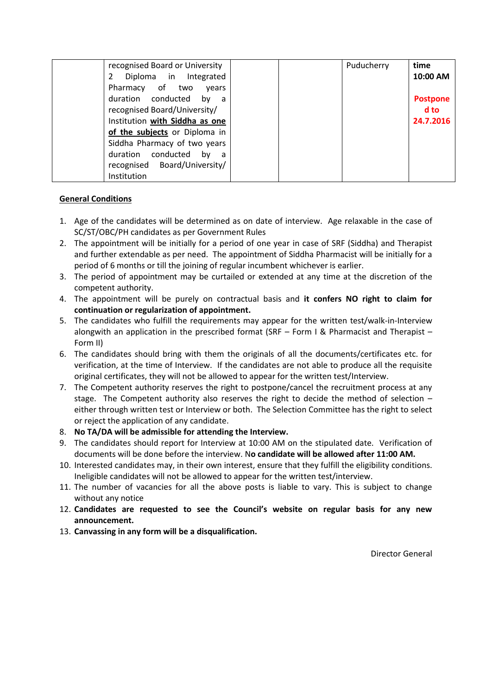| recognised Board or University  | Puducherry | time            |
|---------------------------------|------------|-----------------|
| Diploma in Integrated           |            | 10:00 AM        |
| Pharmacy of two<br>vears        |            |                 |
| duration conducted<br>by a      |            | <b>Postpone</b> |
| recognised Board/University/    |            | d to            |
| Institution with Siddha as one  |            | 24.7.2016       |
| of the subjects or Diploma in   |            |                 |
| Siddha Pharmacy of two years    |            |                 |
| duration conducted<br>by<br>a a |            |                 |
| recognised Board/University/    |            |                 |
| Institution                     |            |                 |

#### **General Conditions**

- 1. Age of the candidates will be determined as on date of interview. Age relaxable in the case of SC/ST/OBC/PH candidates as per Government Rules
- 2. The appointment will be initially for a period of one year in case of SRF (Siddha) and Therapist and further extendable as per need. The appointment of Siddha Pharmacist will be initially for a period of 6 months or till the joining of regular incumbent whichever is earlier.
- 3. The period of appointment may be curtailed or extended at any time at the discretion of the competent authority.
- 4. The appointment will be purely on contractual basis and **it confers NO right to claim for continuation or regularization of appointment.**
- 5. The candidates who fulfill the requirements may appear for the written test/walk-in-Interview alongwith an application in the prescribed format (SRF – Form I & Pharmacist and Therapist – Form II)
- 6. The candidates should bring with them the originals of all the documents/certificates etc. for verification, at the time of Interview. If the candidates are not able to produce all the requisite original certificates, they will not be allowed to appear for the written test/Interview.
- 7. The Competent authority reserves the right to postpone/cancel the recruitment process at any stage. The Competent authority also reserves the right to decide the method of selection – either through written test or Interview or both. The Selection Committee has the right to select or reject the application of any candidate.
- 8. **No TA/DA will be admissible for attending the Interview.**
- 9. The candidates should report for Interview at 10:00 AM on the stipulated date. Verification of documents will be done before the interview. N**o candidate will be allowed after 11:00 AM.**
- 10. Interested candidates may, in their own interest, ensure that they fulfill the eligibility conditions. Ineligible candidates will not be allowed to appear for the written test/interview.
- 11. The number of vacancies for all the above posts is liable to vary. This is subject to change without any notice
- 12. **Candidates are requested to see the Council's website on regular basis for any new announcement.**
- 13. **Canvassing in any form will be a disqualification.**

Director General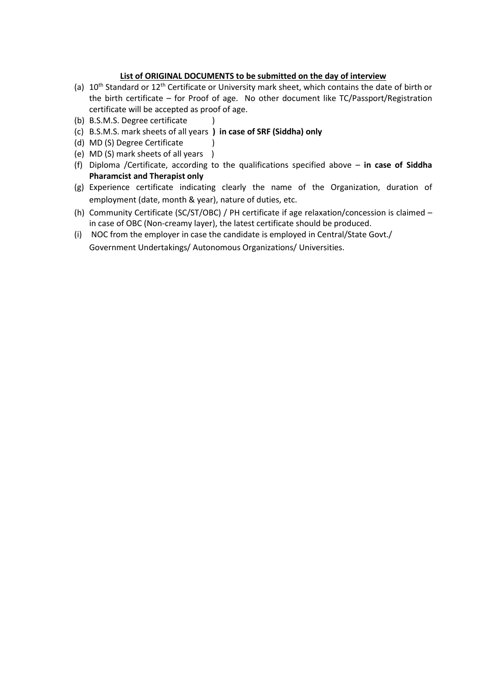### **List of ORIGINAL DOCUMENTS to be submitted on the day of interview**

- (a) 10<sup>th</sup> Standard or 12<sup>th</sup> Certificate or University mark sheet, which contains the date of birth or the birth certificate – for Proof of age. No other document like TC/Passport/Registration certificate will be accepted as proof of age.
- (b) B.S.M.S. Degree certificate )
- (c) B.S.M.S. mark sheets of all years **) in case of SRF (Siddha) only**
- (d) MD (S) Degree Certificate
- (e) MD (S) mark sheets of all years )
- (f) Diploma /Certificate, according to the qualifications specified above **in case of Siddha Pharamcist and Therapist only**
- (g) Experience certificate indicating clearly the name of the Organization, duration of employment (date, month & year), nature of duties, etc.
- (h) Community Certificate (SC/ST/OBC) / PH certificate if age relaxation/concession is claimed in case of OBC (Non-creamy layer), the latest certificate should be produced.
- (i) NOC from the employer in case the candidate is employed in Central/State Govt./ Government Undertakings/ Autonomous Organizations/ Universities.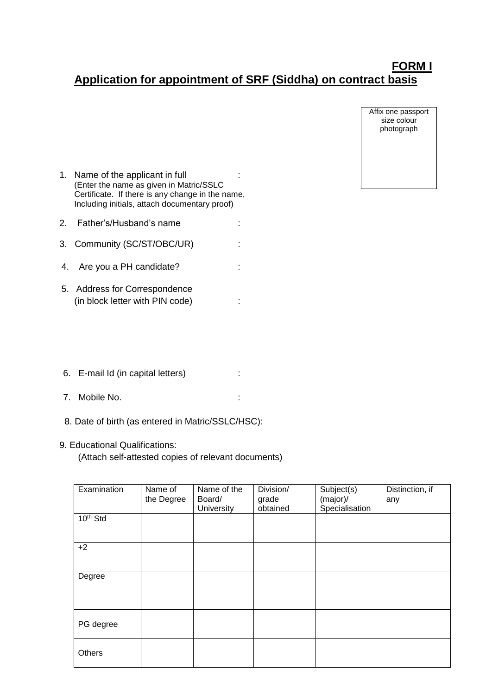# **FORM I Application for appointment of SRF (Siddha) on contract basis**

Affix one passport size colour photograph

- 1. Name of the applicant in full : (Enter the name as given in Matric/SSLC Certificate. If there is any change in the name, Including initials, attach documentary proof)
- 2. Father's/Husband's name :
- 3. Community (SC/ST/OBC/UR) :
- 4. Are you a PH candidate? :  $\cdot$
- 5. Address for Correspondence (in block letter with PIN code) :
- 6. E-mail Id (in capital letters) :
- 7. Mobile No. :
- 8. Date of birth (as entered in Matric/SSLC/HSC):
- 9. Educational Qualifications: (Attach self-attested copies of relevant documents)

| Examination          | Name of<br>the Degree | Name of the<br>Board/ | Division/<br>grade | Subject(s)<br>(major)/ | Distinction, if<br>any |
|----------------------|-----------------------|-----------------------|--------------------|------------------------|------------------------|
|                      |                       | University            | obtained           | Specialisation         |                        |
| 10 <sup>th</sup> Std |                       |                       |                    |                        |                        |
|                      |                       |                       |                    |                        |                        |
| $+2$                 |                       |                       |                    |                        |                        |
|                      |                       |                       |                    |                        |                        |
| Degree               |                       |                       |                    |                        |                        |
|                      |                       |                       |                    |                        |                        |
|                      |                       |                       |                    |                        |                        |
| PG degree            |                       |                       |                    |                        |                        |
|                      |                       |                       |                    |                        |                        |
| Others               |                       |                       |                    |                        |                        |
|                      |                       |                       |                    |                        |                        |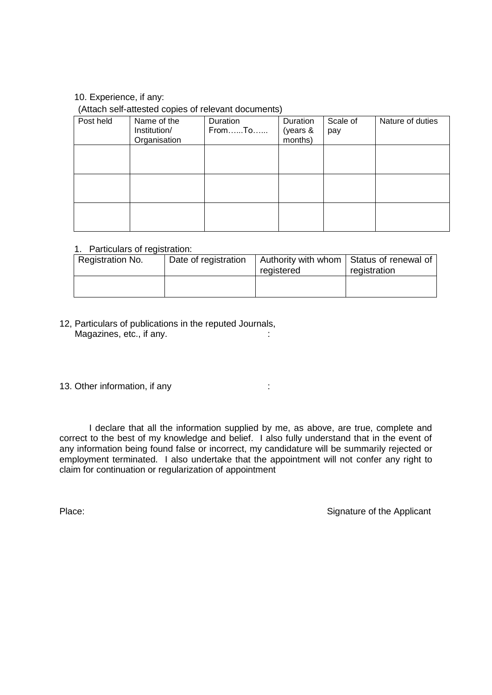# 10. Experience, if any:

### (Attach self-attested copies of relevant documents)

| Post held | Name of the<br>Institution/<br>Organisation | Duration<br>FromTo | Duration<br>(years &<br>months) | Scale of<br>pay | Nature of duties |
|-----------|---------------------------------------------|--------------------|---------------------------------|-----------------|------------------|
|           |                                             |                    |                                 |                 |                  |
|           |                                             |                    |                                 |                 |                  |
|           |                                             |                    |                                 |                 |                  |

# 1. Particulars of registration:

| Registration No. | Date of registration | Authority with whom   Status of renewal of |              |
|------------------|----------------------|--------------------------------------------|--------------|
|                  |                      | registered                                 | registration |
|                  |                      |                                            |              |
|                  |                      |                                            |              |

12, Particulars of publications in the reputed Journals, Magazines, etc., if any. **Example 20** and the state of the state of the state of the state of the state of the state of the state of the state of the state of the state of the state of the state of the state of the state o

13. Other information, if any interest and the state of the state of the state of the state of the state of the state of the state of the state of the state of the state of the state of the state of the state of the state

I declare that all the information supplied by me, as above, are true, complete and correct to the best of my knowledge and belief. I also fully understand that in the event of any information being found false or incorrect, my candidature will be summarily rejected or employment terminated. I also undertake that the appointment will not confer any right to claim for continuation or regularization of appointment

Place: Signature of the Applicant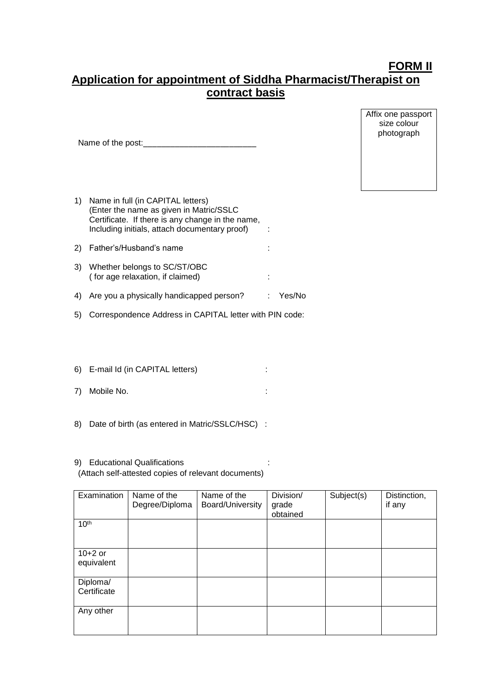# **FORM II Application for appointment of Siddha Pharmacist/Therapist on contract basis**

Affix one passport size colour photograph

| 1) | Name in full (in CAPITAL letters)<br>(Enter the name as given in Matric/SSLC<br>Certificate. If there is any change in the name,<br>Including initials, attach documentary proof) |        |
|----|-----------------------------------------------------------------------------------------------------------------------------------------------------------------------------------|--------|
|    | Father's/Husband's name                                                                                                                                                           |        |
| 3) | Whether belongs to SC/ST/OBC<br>(for age relaxation, if claimed)                                                                                                                  |        |
| 4) | Are you a physically handicapped person?                                                                                                                                          | Yes/No |

Name of the post:\_\_\_\_\_\_\_\_\_\_\_\_\_\_\_\_\_\_\_\_\_\_\_\_\_

5) Correspondence Address in CAPITAL letter with PIN code:

- 6) E-mail Id (in CAPITAL letters) :
- 7) Mobile No. :
- 8) Date of birth (as entered in Matric/SSLC/HSC) :

#### 9) Educational Qualifications : (Attach self-attested copies of relevant documents)

| Examination             | Name of the<br>Degree/Diploma | Name of the<br>Board/University | Division/<br>grade<br>obtained | Subject(s) | Distinction,<br>if any |
|-------------------------|-------------------------------|---------------------------------|--------------------------------|------------|------------------------|
| 10 <sup>th</sup>        |                               |                                 |                                |            |                        |
| $10+2$ or<br>equivalent |                               |                                 |                                |            |                        |
| Diploma/<br>Certificate |                               |                                 |                                |            |                        |
| Any other               |                               |                                 |                                |            |                        |